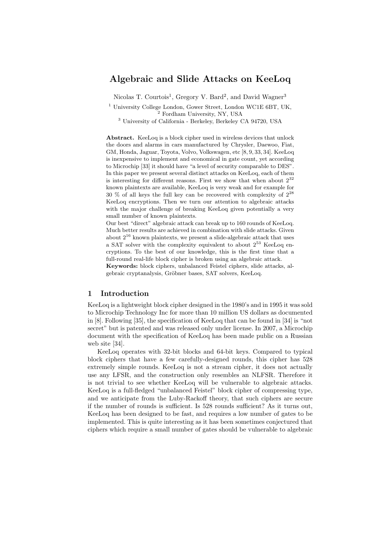# Algebraic and Slide Attacks on KeeLoq

Nicolas T. Courtois<sup>1</sup>, Gregory V. Bard<sup>2</sup>, and David Wagner<sup>3</sup>

<sup>1</sup> University College London, Gower Street, London WC1E 6BT, UK, <sup>2</sup> Fordham University, NY, USA

<sup>3</sup> University of California - Berkeley, Berkeley CA 94720, USA

Abstract. KeeLoq is a block cipher used in wireless devices that unlock the doors and alarms in cars manufactured by Chrysler, Daewoo, Fiat, GM, Honda, Jaguar, Toyota, Volvo, Volkswagen, etc [8, 9, 33, 34]. KeeLoq is inexpensive to implement and economical in gate count, yet according to Microchip [33] it should have "a level of security comparable to DES". In this paper we present several distinct attacks on KeeLoq, each of them is interesting for different reasons. First we show that when about  $2^{32}$ known plaintexts are available, KeeLoq is very weak and for example for 30 % of all keys the full key can be recovered with complexity of  $2^{28}$ KeeLoq encryptions. Then we turn our attention to algebraic attacks with the major challenge of breaking KeeLoq given potentially a very small number of known plaintexts.

Our best "direct" algebraic attack can break up to 160 rounds of KeeLoq. Much better results are achieved in combination with slide attacks. Given about  $2^{16}$  known plaintexts, we present a slide-algebraic attack that uses a SAT solver with the complexity equivalent to about  $2^{53}$  KeeLoq encryptions. To the best of our knowledge, this is the first time that a full-round real-life block cipher is broken using an algebraic attack. Keywords: block ciphers, unbalanced Feistel ciphers, slide attacks, al-

gebraic cryptanalysis, Gröbner bases, SAT solvers, KeeLoq.

### 1 Introduction

KeeLoq is a lightweight block cipher designed in the 1980's and in 1995 it was sold to Microchip Technology Inc for more than 10 million US dollars as documented in [8]. Following [35], the specification of KeeLoq that can be found in [34] is "not secret" but is patented and was released only under license. In 2007, a Microchip document with the specification of KeeLoq has been made public on a Russian web site [34].

KeeLoq operates with 32-bit blocks and 64-bit keys. Compared to typical block ciphers that have a few carefully-designed rounds, this cipher has 528 extremely simple rounds. KeeLoq is not a stream cipher, it does not actually use any LFSR, and the construction only resembles an NLFSR. Therefore it is not trivial to see whether KeeLoq will be vulnerable to algebraic attacks. KeeLoq is a full-fledged "unbalanced Feistel" block cipher of compressing type, and we anticipate from the Luby-Rackoff theory, that such ciphers are secure if the number of rounds is sufficient. Is 528 rounds sufficient? As it turns out, KeeLoq has been designed to be fast, and requires a low number of gates to be implemented. This is quite interesting as it has been sometimes conjectured that ciphers which require a small number of gates should be vulnerable to algebraic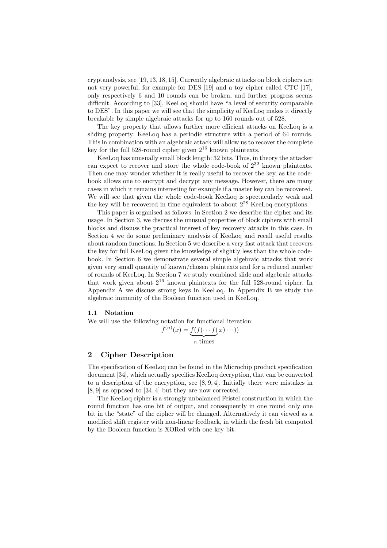cryptanalysis, see [19, 13, 18, 15]. Currently algebraic attacks on block ciphers are not very powerful, for example for DES [19] and a toy cipher called CTC [17], only respectively 6 and 10 rounds can be broken, and further progress seems difficult. According to [33], KeeLoq should have "a level of security comparable to DES". In this paper we will see that the simplicity of KeeLoq makes it directly breakable by simple algebraic attacks for up to 160 rounds out of 528.

The key property that allows further more efficient attacks on KeeLoq is a sliding property: KeeLoq has a periodic structure with a period of 64 rounds. This in combination with an algebraic attack will allow us to recover the complete key for the full 528-round cipher given  $2^{16}$  known plaintexts.

KeeLoq has unusually small block length: 32 bits. Thus, in theory the attacker can expect to recover and store the whole code-book of  $2^{32}$  known plaintexts. Then one may wonder whether it is really useful to recover the key, as the codebook allows one to encrypt and decrypt any message. However, there are many cases in which it remains interesting for example if a master key can be recovered. We will see that given the whole code-book KeeLoq is spectacularly weak and the key will be recovered in time equivalent to about  $2^{28}$  KeeLoq encryptions.

This paper is organised as follows: in Section 2 we describe the cipher and its usage. In Section 3, we discuss the unusual properties of block ciphers with small blocks and discuss the practical interest of key recovery attacks in this case. In Section 4 we do some preliminary analysis of KeeLoq and recall useful results about random functions. In Section 5 we describe a very fast attack that recovers the key for full KeeLoq given the knowledge of slightly less than the whole codebook. In Section 6 we demonstrate several simple algebraic attacks that work given very small quantity of known/chosen plaintexts and for a reduced number of rounds of KeeLoq. In Section 7 we study combined slide and algebraic attacks that work given about  $2^{16}$  known plaintexts for the full 528-round cipher. In Appendix A we discuss strong keys in KeeLoq. In Appendix B we study the algebraic immunity of the Boolean function used in KeeLoq.

## 1.1 Notation

We will use the following notation for functional iteration:

$$
f^{(n)}(x) = \underbrace{f(f(\cdots f(x))\cdots)}_{n \text{ times}})
$$

# 2 Cipher Description

The specification of KeeLoq can be found in the Microchip product specification document [34], which actually specifies KeeLoq decryption, that can be converted to a description of the encryption, see [8, 9, 4]. Initially there were mistakes in [8, 9] as opposed to [34, 4] but they are now corrected.

The KeeLoq cipher is a strongly unbalanced Feistel construction in which the round function has one bit of output, and consequently in one round only one bit in the "state" of the cipher will be changed. Alternatively it can viewed as a modified shift register with non-linear feedback, in which the fresh bit computed by the Boolean function is XORed with one key bit.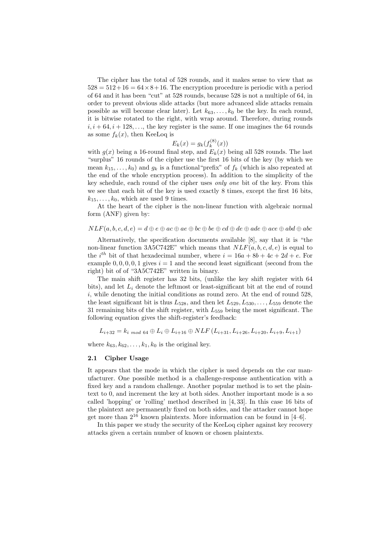The cipher has the total of 528 rounds, and it makes sense to view that as  $528 = 512 + 16 = 64 \times 8 + 16$ . The encryption procedure is periodic with a period of 64 and it has been "cut" at 528 rounds, because 528 is not a multiple of 64, in order to prevent obvious slide attacks (but more advanced slide attacks remain possible as will become clear later). Let  $k_{63}, \ldots, k_0$  be the key. In each round, it is bitwise rotated to the right, with wrap around. Therefore, during rounds  $i, i + 64, i + 128, \ldots$ , the key register is the same. If one imagines the 64 rounds as some  $f_k(x)$ , then KeeLoq is

$$
E_k(x) = g_k(f_k^{(8)}(x))
$$

with  $g(x)$  being a 16-round final step, and  $E_k(x)$  being all 528 rounds. The last "surplus" 16 rounds of the cipher use the first 16 bits of the key (by which we mean  $k_1, \ldots, k_0$  and  $g_k$  is a functional "prefix" of  $f_k$  (which is also repeated at the end of the whole encryption process). In addition to the simplicity of the key schedule, each round of the cipher uses only one bit of the key. From this we see that each bit of the key is used exactly 8 times, except the first 16 bits,  $k_{15}, \ldots, k_0$ , which are used 9 times.

At the heart of the cipher is the non-linear function with algebraic normal form (ANF) given by:

$$
NLF(a, b, c, d, e) = d \oplus e \oplus ac \oplus ae \oplus bc \oplus be \oplus cd \oplus de \oplus ade \oplus ace \oplus abd \oplus abc
$$

Alternatively, the specification documents available [8], say that it is "the non-linear function 3A5C742E" which means that  $NLF(a, b, c, d, e)$  is equal to the i<sup>th</sup> bit of that hexadecimal number, where  $i = 16a + 8b + 4c + 2d + e$ . For example  $0, 0, 0, 0, 1$  gives  $i = 1$  and the second least significant (second from the right) bit of of "3A5C742E" written in binary.

The main shift register has 32 bits, (unlike the key shift register with 64 bits), and let  $L_i$  denote the leftmost or least-significant bit at the end of round  $i$ , while denoting the initial conditions as round zero. At the end of round 528, the least significant bit is thus  $L_{528}$ , and then let  $L_{529}, L_{530}, \ldots, L_{559}$  denote the 31 remaining bits of the shift register, with  $L_{559}$  being the most significant. The following equation gives the shift-register's feedback:

$$
L_{i+32} = k_{i \mod 64} \oplus L_i \oplus L_{i+16} \oplus NLF(L_{i+31}, L_{i+26}, L_{i+20}, L_{i+9}, L_{i+1})
$$

where  $k_{63}, k_{62}, \ldots, k_1, k_0$  is the original key.

#### 2.1 Cipher Usage

It appears that the mode in which the cipher is used depends on the car manufacturer. One possible method is a challenge-response authentication with a fixed key and a random challenge. Another popular method is to set the plaintext to 0, and increment the key at both sides. Another important mode is a so called 'hopping' or 'rolling' method described in [4, 33]. In this case 16 bits of the plaintext are permanently fixed on both sides, and the attacker cannot hope get more than  $2^{16}$  known plaintexts. More information can be found in [4–6].

In this paper we study the security of the KeeLoq cipher against key recovery attacks given a certain number of known or chosen plaintexts.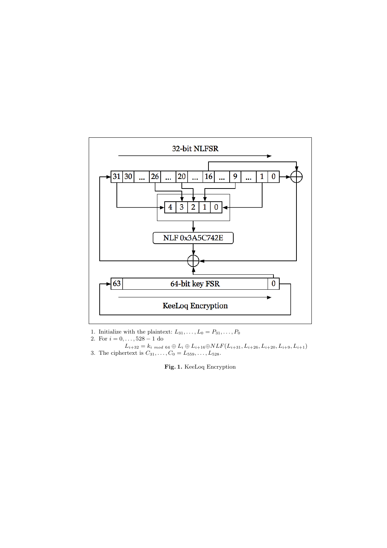

- 1. Initialize with the plaintext:  $L_{31}, \ldots, L_0 = P_{31}, \ldots, P_0$
- 2. For  $i = 0, \ldots, 528 1$  do
- $L_{i+32} = k_i \text{ mod } 64 \oplus L_i \oplus L_{i+16} \oplus NLF(L_{i+31}, L_{i+26}, L_{i+20}, L_{i+9}, L_{i+1})$ 3. The ciphertext is  $C_{31}, \ldots, C_0 = L_{559}, \ldots, L_{528}$ .

Fig. 1. KeeLoq Encryption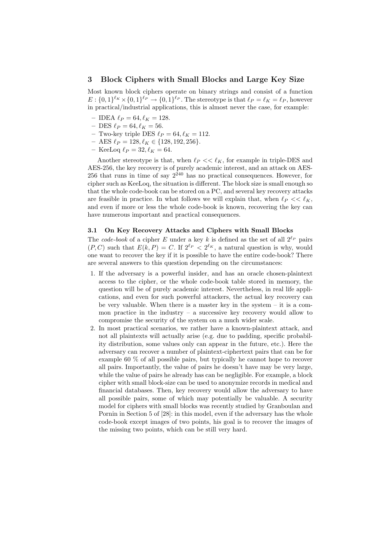## 3 Block Ciphers with Small Blocks and Large Key Size

Most known block ciphers operate on binary strings and consist of a function  $E: \{0,1\}^{\ell_K} \times \{0,1\}^{\ell_P} \to \{0,1\}^{\ell_P}$ . The stereotype is that  $\ell_P = \ell_K = \ell_P$ , however in practical/industrial applications, this is almost never the case, for example:

- IDEA  $\ell_P = 64, \ell_K = 128$ .
- DES  $\ell_P = 64, \ell_K = 56$ .
- Two-key triple DES  $\ell_P = 64, \ell_K = 112$ .
- AES  $\ell_P = 128, \ell_K$  ∈ {128, 192, 256}.
- KeeLoq  $\ell_P = 32, \ell_K = 64.$

Another stereotype is that, when  $\ell_P \ll \ell_K$ , for example in triple-DES and AES-256, the key recovery is of purely academic interest, and an attack on AES-256 that runs in time of say  $2^{240}$  has no practical consequences. However, for cipher such as KeeLoq, the situation is different. The block size is small enough so that the whole code-book can be stored on a PC, and several key recovery attacks are feasible in practice. In what follows we will explain that, when  $\ell_P \ll \ell_K$ , and even if more or less the whole code-book is known, recovering the key can have numerous important and practical consequences.

## 3.1 On Key Recovery Attacks and Ciphers with Small Blocks

The code-book of a cipher E under a key k is defined as the set of all  $2^{\ell_P}$  pairs  $(P, C)$  such that  $E(k, P) = C$ . If  $2^{\ell_P} < 2^{\ell_K}$ , a natural question is why, would one want to recover the key if it is possible to have the entire code-book? There are several answers to this question depending on the circumstances:

- 1. If the adversary is a powerful insider, and has an oracle chosen-plaintext access to the cipher, or the whole code-book table stored in memory, the question will be of purely academic interest. Nevertheless, in real life applications, and even for such powerful attackers, the actual key recovery can be very valuable. When there is a master key in the system  $-$  it is a common practice in the industry – a successive key recovery would allow to compromise the security of the system on a much wider scale.
- 2. In most practical scenarios, we rather have a known-plaintext attack, and not all plaintexts will actually arise (e.g. due to padding, specific probability distribution, some values only can appear in the future, etc.). Here the adversary can recover a number of plaintext-ciphertext pairs that can be for example 60 % of all possible pairs, but typically he cannot hope to recover all pairs. Importantly, the value of pairs he doesn't have may be very large, while the value of pairs he already has can be negligible. For example, a block cipher with small block-size can be used to anonymize records in medical and financial databases. Then, key recovery would allow the adversary to have all possible pairs, some of which may potentially be valuable. A security model for ciphers with small blocks was recently studied by Granboulan and Pornin in Section 5 of [28]: in this model, even if the adversary has the whole code-book except images of two points, his goal is to recover the images of the missing two points, which can be still very hard.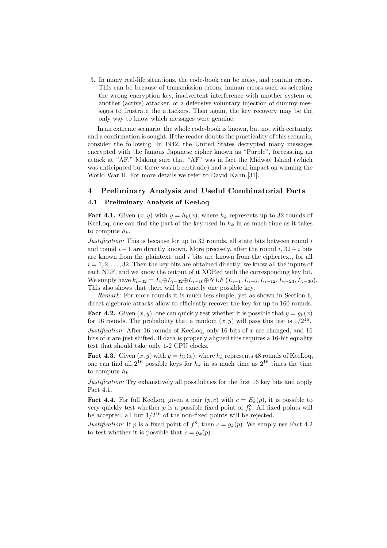3. In many real-life situations, the code-book can be noisy, and contain errors. This can be because of transmission errors, human errors such as selecting the wrong encryption key, inadvertent interference with another system or another (active) attacker, or a defensive voluntary injection of dummy messages to frustrate the attackers. Then again, the key recovery may be the only way to know which messages were genuine.

In an extreme scenario, the whole code-book is known, but not with certainty, and a confirmation is sought. If the reader doubts the practicality of this scenario, consider the following. In 1942, the United States decrypted many messages encrypted with the famous Japanese cipher known as "Purple", forecasting an attack at "AF." Making sure that "AF" was in fact the Midway Island (which was anticipated but there was no certitude) had a pivotal impact on winning the World War II. For more details we refer to David Kahn [31].

## 4 Preliminary Analysis and Useful Combinatorial Facts

## 4.1 Preliminary Analysis of KeeLoq

**Fact 4.1.** Given  $(x, y)$  with  $y = h_k(x)$ , where  $h_k$  represents up to 32 rounds of KeeLoq, one can find the part of the key used in  $h_k$  in as much time as it takes to compute  $h_k$ .

Justification: This is because for up to 32 rounds, all state bits between round  $i$ and round  $i - 1$  are directly known. More precisely, after the round i,  $32 - i$  bits are known from the plaintext, and i bits are known from the ciphertext, for all  $i = 1, 2, \ldots, 32$ . Then the key bits are obtained directly: we know all the inputs of each NLF, and we know the output of it XORed with the corresponding key bit. We simply have  $k_{i-32} = L_i \oplus L_{i-32} \oplus L_{i-16} \oplus NLF (L_{i-1}, L_{i-6}, L_{i-12}, L_{i-23}, L_{i-30}).$ This also shows that there will be exactly one possible key.

Remark: For more rounds it is much less simple, yet as shown in Section 6, direct algebraic attacks allow to efficiently recover the key for up to 160 rounds.

**Fact 4.2.** Given  $(x, y)$ , one can quickly test whether it is possible that  $y = q_k(x)$ for 16 rounds. The probability that a random  $(x, y)$  will pass this test is  $1/2^{16}$ . Justification: After 16 rounds of KeeLoq, only 16 bits of  $x$  are changed, and 16 bits of  $x$  are just shifted. If data is properly aligned this requires a 16-bit equality test that should take only 1-2 CPU clocks.

**Fact 4.3.** Given  $(x, y)$  with  $y = h_k(x)$ , where  $h_k$  represents 48 rounds of KeeLoq, one can find all  $2^{16}$  possible keys for  $h_k$  in as much time as  $2^{16}$  times the time to compute  $h_k$ .

Justification: Try exhaustively all possibilities for the first 16 key bits and apply Fact 4.1.

**Fact 4.4.** For full KeeLoq, given a pair  $(p, c)$  with  $c = E_k(p)$ , it is possible to very quickly test whether  $p$  is a possible fixed point of  $f_k^8$ . All fixed points will be accepted; all but  $1/2^{16}$  of the non-fixed points will be rejected.

Justification: If p is a fixed point of  $f^8$ , then  $c = g_k(p)$ . We simply use Fact 4.2 to test whether it is possible that  $c = q_k(p)$ .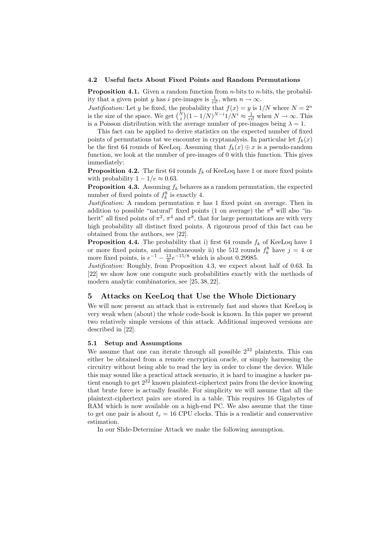#### 4.2 Useful facts About Fixed Points and Random Permutations

**Proposition 4.1.** Given a random function from *n*-bits to *n*-bits, the probability that a given point y has i pre-images is  $\frac{1}{e_i!}$ , when  $n \to \infty$ .

*Justification:* Let y be fixed, the probability that  $f(x) = y$  is  $1/N$  where  $N = 2^n$  is the size of the space. We get  $\binom{N}{i} (1 - 1/N)^{N-i} 1/N^i \approx \frac{1}{e^{i!}}$  when  $N \to \infty$ . This r<br>\  $(1 - 1/N)^{N-i} 1/N^i \approx \frac{1}{e^{i!}}$  when  $N \to \infty$ . This is a Poisson distribution with the average number of pre-images being  $\lambda = 1$ .

This fact can be applied to derive statistics on the expected number of fixed points of permutations tat we encounter in cryptanalysis. In particular let  $f_k(x)$ be the first 64 rounds of KeeLoq. Assuming that  $f_k(x) \oplus x$  is a pseudo-random function, we look at the number of pre-images of 0 with this function. This gives immediately:

**Proposition 4.2.** The first 64 rounds  $f_k$  of KeeLoq have 1 or more fixed points with probability  $1 - 1/e \approx 0.63$ .

**Proposition 4.3.** Assuming  $f_k$  behaves as a random permutation, the expected number of fixed points of  $f_k^8$  is exactly 4.

Justification: A random permutation  $\pi$  has 1 fixed point on average. Then in addition to possible "natural" fixed points (1 on average) the  $\pi^8$  will also "inherit" all fixed points of  $\pi^2$ ,  $\pi^4$  and  $\pi^8$ , that for large permutations are with very high probability all distinct fixed points. A rigourous proof of this fact can be obtained from the authors, see [22].

**Proposition 4.4.** The probability that i) first 64 rounds  $f_k$  of KeeLoq have 1 or more fixed points, and simultaneously ii) the 512 rounds  $f_k^8$  have  $j = 4$  or more fixed points, is  $e^{-1} - \frac{13}{6}e^{-15/8}$  which is about 0.29985.

Justification: Roughly, from Proposition 4.3, we expect about half of 0.63. In [22] we show how one compute such probabilities exactly with the methods of modern analytic combinatorics, see [25, 38, 22].

## 5 Attacks on KeeLoq that Use the Whole Dictionary

We will now present an attack that is extremely fast and shows that KeeLoq is very weak when (about) the whole code-book is known. In this paper we present two relatively simple versions of this attack. Additional improved versions are described in [22].

#### 5.1 Setup and Assumptions

We assume that one can iterate through all possible  $2^{32}$  plaintexts. This can either be obtained from a remote encryption oracle, or simply harnessing the circuitry without being able to read the key in order to clone the device. While this may sound like a practical attack scenario, it is hard to imagine a hacker patient enough to get  $2^{32}$  known plaintext-ciphertext pairs from the device knowing that brute force is actually feasible. For simplicity we will assume that all the plaintext-ciphertext pairs are stored in a table. This requires 16 Gigabytes of RAM which is now available on a high-end PC. We also assume that the time to get one pair is about  $t_r = 16$  CPU clocks. This is a realistic and conservative estimation.

In our Slide-Determine Attack we make the following assumption.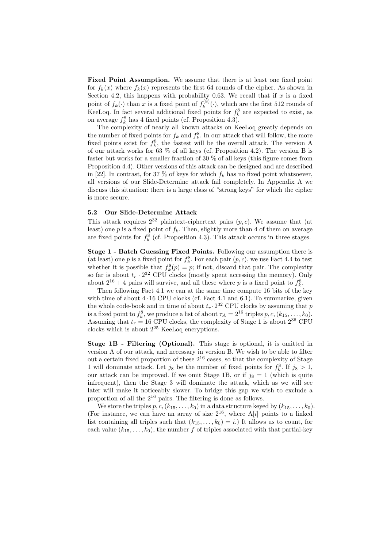Fixed Point Assumption. We assume that there is at least one fixed point for  $f_k(x)$  where  $f_k(x)$  represents the first 64 rounds of the cipher. As shown in Section 4.2, this happens with probability 0.63. We recall that if  $x$  is a fixed point of  $f_k(\cdot)$  than x is a fixed point of  $f_k^{(8)}$  $\mathbf{k}^{(8)}(\cdot)$ , which are the first 512 rounds of KeeLoq. In fact several additional fixed points for  $f_k^8$  are expected to exist, as on average  $f_k^8$  has 4 fixed points (cf. Proposition 4.3).

The complexity of nearly all known attacks on KeeLoq greatly depends on the number of fixed points for  $f_k$  and  $f_k^8$ . In our attack that will follow, the more fixed points exist for  $f_k^8$ , the fastest will be the overall attack. The version A of our attack works for 63 % of all keys (cf. Proposition 4.2). The version B is faster but works for a smaller fraction of 30 % of all keys (this figure comes from Proposition 4.4). Other versions of this attack can be designed and are described in [22]. In contrast, for 37 % of keys for which  $f_k$  has no fixed point whatsoever, all versions of our Slide-Determine attack fail completely. In Appendix A we discuss this situation: there is a large class of "strong keys" for which the cipher is more secure.

### 5.2 Our Slide-Determine Attack

This attack requires  $2^{32}$  plaintext-ciphertext pairs  $(p, c)$ . We assume that (at least) one  $p$  is a fixed point of  $f_k$ . Then, slightly more than 4 of them on average are fixed points for  $f_k^8$  (cf. Proposition 4.3). This attack occurs in three stages.

Stage 1 - Batch Guessing Fixed Points. Following our assumption there is (at least) one p is a fixed point for  $f_k^8$ . For each pair  $(p, c)$ , we use Fact 4.4 to test whether it is possible that  $f_k^8(p) = p$ ; if not, discard that pair. The complexity so far is about  $t_r \cdot 2^{32}$  CPU clocks (mostly spent accessing the memory). Only about  $2^{16} + 4$  pairs will survive, and all these where p is a fixed point to  $f_k^8$ .

Then following Fact 4.1 we can at the same time compute 16 bits of the key with time of about  $4 \cdot 16$  CPU clocks (cf. Fact 4.1 and 6.1). To summarize, given the whole code-book and in time of about  $t_r \cdot 2^{32}$  CPU clocks by assuming that p is a fixed point to  $f_k^8$ , we produce a list of about  $\tau_A = 2^{16}$  triples  $p, c, (k_{15}, \ldots, k_0)$ . Assuming that  $t_r = 16$  CPU clocks, the complexity of Stage 1 is about  $2^{36}$  CPU clocks which is about  $2^{25}$  KeeLoq encryptions.

Stage 1B - Filtering (Optional). This stage is optional, it is omitted in version A of our attack, and necessary in version B. We wish to be able to filter out a certain fixed proportion of these  $2^{16}$  cases, so that the complexity of Stage 1 will dominate attack. Let  $j_8$  be the number of fixed points for  $f_k^8$ . If  $j_8 > 1$ , our attack can be improved. If we omit Stage 1B, or if  $j_8 = 1$  (which is quite infrequent), then the Stage 3 will dominate the attack, which as we will see later will make it noticeably slower. To bridge this gap we wish to exclude a proportion of all the 2<sup>16</sup> pairs. The filtering is done as follows.

We store the triples  $p, c, (k_{15}, \ldots, k_0)$  in a data structure keyed by  $(k_{15}, \ldots, k_0)$ . (For instance, we can have an array of size  $2^{16}$ , where A[i] points to a linked list containing all triples such that  $(k_{15}, \ldots, k_0) = i$ . It allows us to count, for each value  $(k_{15}, \ldots, k_0)$ , the number f of triples associated with that partial-key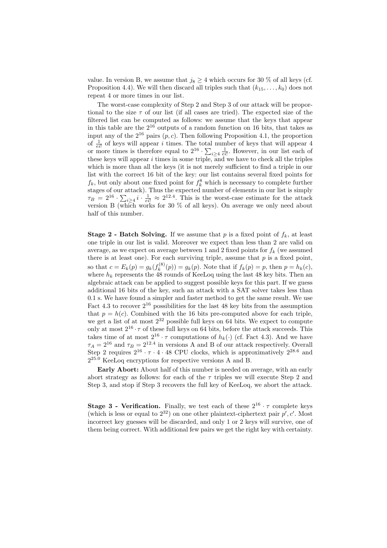value. In version B, we assume that  $j_8 \geq 4$  which occurs for 30 % of all keys (cf. Proposition 4.4). We will then discard all triples such that  $(k_{15}, \ldots, k_0)$  does not repeat 4 or more times in our list.

The worst-case complexity of Step 2 and Step 3 of our attack will be proportional to the size  $\tau$  of our list (if all cases are tried). The expected size of the filtered list can be computed as follows: we assume that the keys that appear in this table are the  $2^{16}$  outputs of a random function on 16 bits, that takes as input any of the  $2^{16}$  pairs  $(p, c)$ . Then following Proposition 4.1, the proportion of  $\frac{1}{e^{i}}$  of keys will appear i times. The total number of keys that will appear 4 or  $\frac{1}{e^{i!}}$  or keys will appear *t* times. The total<br>or more times is therefore equal to  $2^{16} \cdot \sum$  $i\geq 4$   $\frac{1}{e^{i}}$ . However, in our list each of these keys will appear  $i$  times in some triple, and we have to check all the triples which is more than all the keys (it is not merely sufficient to find a triple in our list with the correct 16 bit of the key: our list contains several fixed points for  $f_k$ , but only about one fixed point for  $f_k^8$  which is necessary to complete further stages of our attack). Thus the expected number of elements in our list is simply stages of our a<br> $\tau_B = 2^{16} \cdot \sum$  $i\geq 4$   $i\cdot \frac{1}{e^{i!}} \approx 2^{12.4}$ . This is the worst-case estimate for the attack version B (which works for 30 % of all keys). On average we only need about half of this number.

**Stage 2 - Batch Solving.** If we assume that p is a fixed point of  $f_k$ , at least one triple in our list is valid. Moreover we expect than less than 2 are valid on average, as we expect on average between 1 and 2 fixed points for  $f_k$  (we assumed there is at least one). For each surviving triple, assume that  $p$  is a fixed point, so that  $c = E_k(p) = g_k(f_k^{(8)})$  $g_k^{(8)}(p) = g_k(p)$ . Note that if  $f_k(p) = p$ , then  $p = h_k(c)$ , where  $h_k$  represents the 48 rounds of KeeLoq using the last 48 key bits. Then an algebraic attack can be applied to suggest possible keys for this part. If we guess additional 16 bits of the key, such an attack with a SAT solver takes less than 0.1 s. We have found a simpler and faster method to get the same result. We use Fact 4.3 to recover  $2^{16}$  possibilities for the last 48 key bits from the assumption that  $p = h(c)$ . Combined with the 16 bits pre-computed above for each triple, we get a list of at most  $2^{32}$  possible full keys on 64 bits. We expect to compute only at most  $2^{16} \cdot \tau$  of these full keys on 64 bits, before the attack succeeds. This takes time of at most  $2^{16} \cdot \tau$  computations of  $h_k(\cdot)$  (cf. Fact 4.3). And we have  $\tau_A = 2^{16}$  and  $\tau_B = 2^{12.4}$  in versions A and B of our attack respectively. Overall Step 2 requires  $2^{16} \cdot \tau \cdot 4 \cdot 48$  CPU clocks, which is approximatively  $2^{28.6}$  and  $2^{25.0}$  KeeLoq encryptions for respective versions A and B.

Early Abort: About half of this number is needed on average, with an early abort strategy as follows: for each of the  $\tau$  triples we will execute Step 2 and Step 3, and stop if Step 3 recovers the full key of KeeLoq, we abort the attack.

**Stage 3 - Verification.** Finally, we test each of these  $2^{16} \cdot \tau$  complete keys (which is less or equal to  $2^{32}$ ) on one other plaintext-ciphertext pair  $p', c'$ . Most incorrect key guesses will be discarded, and only 1 or 2 keys will survive, one of them being correct. With additional few pairs we get the right key with certainty.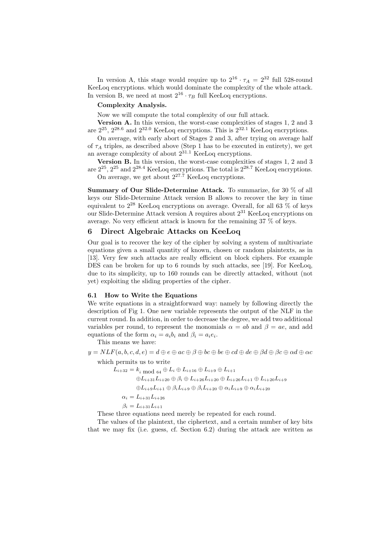In version A, this stage would require up to  $2^{16} \cdot \tau_A = 2^{32}$  full 528-round KeeLoq encryptions. which would dominate the complexity of the whole attack. In version B, we need at most  $2^{16} \cdot \tau_B$  full KeeLoq encryptions.

## Complexity Analysis.

Now we will compute the total complexity of our full attack.

Version A. In this version, the worst-case complexities of stages 1, 2 and 3 are  $2^{25}$ ,  $2^{28.6}$  and  $2^{32.0}$  KeeLoq encryptions. This is  $2^{32.1}$  KeeLoq encryptions.

On average, with early abort of Stages 2 and 3, after trying on average half of  $\tau_A$  triples, as described above (Step 1 has to be executed in entirety), we get an average complexity of about  $2^{31.1}$  KeeLoq encryptions.

Version B. In this version, the worst-case complexities of stages 1, 2 and 3 are  $2^{25}$ ,  $2^{25}$  and  $2^{28.4}$  KeeLoq encryptions. The total is  $2^{28.7}$  KeeLoq encryptions. On average, we get about  $2^{27.7}$  KeeLoq encryptions.

Summary of Our Slide-Determine Attack. To summarize, for 30  $\%$  of all keys our Slide-Determine Attack version B allows to recover the key in time equivalent to  $2^{28}$  KeeLoq encryptions on average. Overall, for all 63 % of keys our Slide-Determine Attack version A requires about 2<sup>31</sup> KeeLoq encryptions on average. No very efficient attack is known for the remaining 37 % of keys.

## 6 Direct Algebraic Attacks on KeeLoq

Our goal is to recover the key of the cipher by solving a system of multivariate equations given a small quantity of known, chosen or random plaintexts, as in [13]. Very few such attacks are really efficient on block ciphers. For example DES can be broken for up to 6 rounds by such attacks, see [19]. For KeeLoq, due to its simplicity, up to 160 rounds can be directly attacked, without (not yet) exploiting the sliding properties of the cipher.

### 6.1 How to Write the Equations

We write equations in a straightforward way: namely by following directly the description of Fig 1. One new variable represents the output of the NLF in the current round. In addition, in order to decrease the degree, we add two additional variables per round, to represent the monomials  $\alpha = ab$  and  $\beta = ae$ , and add equations of the form  $\alpha_i = a_i b_i$  and  $\beta_i = a_i e_i$ .

This means we have:

 $y = NLF(a, b, c, d, e) = d \oplus e \oplus ac \oplus \beta \oplus bc \oplus be \oplus cd \oplus de \oplus \beta d \oplus \beta c \oplus \alpha d \oplus \alpha c$ 

which permits us to write

 $L_{i+32} = k_{i \mod 64} \oplus L_i \oplus L_{i+16} \oplus L_{i+9} \oplus L_{i+1}$ 

 $\oplus L_{i+31}L_{i+20} \oplus \beta_i \oplus L_{i+26}L_{i+20} \oplus L_{i+26}L_{i+1} \oplus L_{i+20}L_{i+9}$ 

 $\oplus L_{i+9}L_{i+1}\oplus \beta_iL_{i+9}\oplus \beta_iL_{i+20}\oplus \alpha_iL_{i+9}\oplus \alpha_iL_{i+20}$ 

 $\alpha_i = L_{i+31}L_{i+26}$ 

$$
\beta_i = L_{i+31} L_{i+1}
$$

These three equations need merely be repeated for each round.

The values of the plaintext, the ciphertext, and a certain number of key bits that we may fix (i.e. guess, cf. Section 6.2) during the attack are written as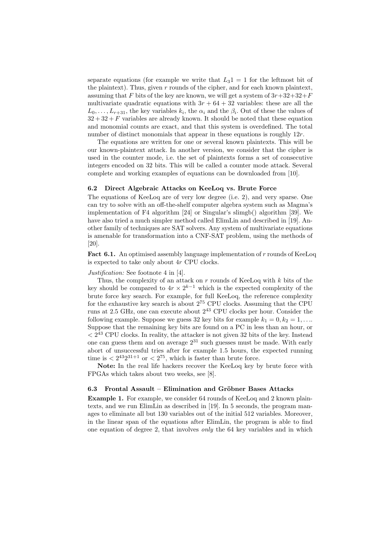separate equations (for example we write that  $L_3$ 1 = 1 for the leftmost bit of the plaintext). Thus, given r rounds of the cipher, and for each known plaintext, assuming that F bits of the key are known, we will get a system of  $3r+32+32+F$ multivariate quadratic equations with  $3r + 64 + 32$  variables: these are all the  $L_0, \ldots, L_{r+31}$ , the key variables  $k_i$ , the  $\alpha_i$  and the  $\beta_i$ . Out of these the values of  $32 + 32 + F$  variables are already known. It should be noted that these equation and monomial counts are exact, and that this system is overdefined. The total number of distinct monomials that appear in these equations is roughly  $12r$ .

The equations are written for one or several known plaintexts. This will be our known-plaintext attack. In another version, we consider that the cipher is used in the counter mode, i.e. the set of plaintexts forms a set of consecutive integers encoded on 32 bits. This will be called a counter mode attack. Several complete and working examples of equations can be downloaded from [10].

### 6.2 Direct Algebraic Attacks on KeeLoq vs. Brute Force

The equations of KeeLoq are of very low degree (i.e. 2), and very sparse. One can try to solve with an off-the-shelf computer algebra system such as Magma's implementation of F4 algorithm [24] or Singular's slimgb() algorithm [39]. We have also tried a much simpler method called ElimLin and described in [19]. Another family of techniques are SAT solvers. Any system of multivariate equations is amenable for transformation into a CNF-SAT problem, using the methods of [20].

Fact 6.1. An optimised assembly language implementation of  $r$  rounds of KeeLoq is expected to take only about 4r CPU clocks.

#### Justification: See footnote 4 in [4].

Thus, the complexity of an attack on  $r$  rounds of KeeLoq with  $k$  bits of the key should be compared to  $4r \times 2^{k-1}$  which is the expected complexity of the brute force key search. For example, for full KeeLoq, the reference complexity for the exhaustive key search is about  $2^{75}$  CPU clocks. Assuming that the CPU runs at 2.5 GHz, one can execute about  $2^{43}$  CPU clocks per hour. Consider the following example. Suppose we guess 32 key bits for example  $k_1 = 0, k_2 = 1, \ldots$ Suppose that the remaining key bits are found on a PC in less than an hour, or  $\langle 2^{43}$  CPU clocks. In reality, the attacker is not given 32 bits of the key. Instead one can guess them and on average  $2^{31}$  such guesses must be made. With early abort of unsuccessful tries after for example 1.5 hours, the expected running time is  $\langle 2^{43}2^{31+1}$  or  $\langle 2^{75}$ , which is faster than brute force.

Note: In the real life hackers recover the KeeLoq key by brute force with FPGAs which takes about two weeks, see [8].

## 6.3 Frontal Assault – Elimination and Gröbner Bases Attacks

Example 1. For example, we consider 64 rounds of KeeLoq and 2 known plaintexts, and we run ElimLin as described in [19]. In 5 seconds, the program manages to eliminate all but 130 variables out of the initial 512 variables. Moreover, in the linear span of the equations after ElimLin, the program is able to find one equation of degree 2, that involves *only* the 64 key variables and in which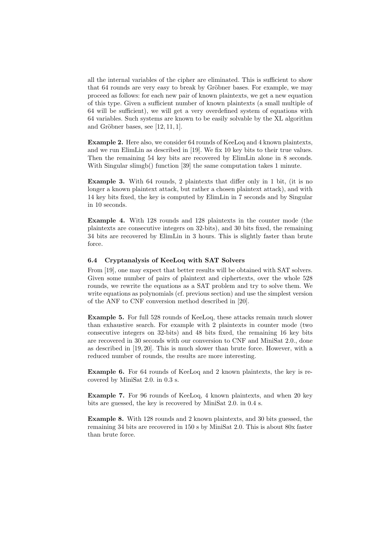all the internal variables of the cipher are eliminated. This is sufficient to show that 64 rounds are very easy to break by Gröbner bases. For example, we may proceed as follows: for each new pair of known plaintexts, we get a new equation of this type. Given a sufficient number of known plaintexts (a small multiple of 64 will be sufficient), we will get a very overdefined system of equations with 64 variables. Such systems are known to be easily solvable by the XL algorithm and Gröbner bases, see  $[12, 11, 1]$ .

Example 2. Here also, we consider 64 rounds of KeeLoq and 4 known plaintexts, and we run ElimLin as described in [19]. We fix 10 key bits to their true values. Then the remaining 54 key bits are recovered by ElimLin alone in 8 seconds. With Singular slimgb() function [39] the same computation takes 1 minute.

Example 3. With 64 rounds, 2 plaintexts that differ only in 1 bit, (it is no longer a known plaintext attack, but rather a chosen plaintext attack), and with 14 key bits fixed, the key is computed by ElimLin in 7 seconds and by Singular in 10 seconds.

Example 4. With 128 rounds and 128 plaintexts in the counter mode (the plaintexts are consecutive integers on 32-bits), and 30 bits fixed, the remaining 34 bits are recovered by ElimLin in 3 hours. This is slightly faster than brute force.

## 6.4 Cryptanalysis of KeeLoq with SAT Solvers

From [19], one may expect that better results will be obtained with SAT solvers. Given some number of pairs of plaintext and ciphertexts, over the whole 528 rounds, we rewrite the equations as a SAT problem and try to solve them. We write equations as polynomials (cf. previous section) and use the simplest version of the ANF to CNF conversion method described in [20].

Example 5. For full 528 rounds of KeeLoq, these attacks remain much slower than exhaustive search. For example with 2 plaintexts in counter mode (two consecutive integers on 32-bits) and 48 bits fixed, the remaining 16 key bits are recovered in 30 seconds with our conversion to CNF and MiniSat 2.0., done as described in [19, 20]. This is much slower than brute force. However, with a reduced number of rounds, the results are more interesting.

Example 6. For 64 rounds of KeeLoq and 2 known plaintexts, the key is recovered by MiniSat 2.0. in 0.3 s.

Example 7. For 96 rounds of KeeLoq, 4 known plaintexts, and when 20 key bits are guessed, the key is recovered by MiniSat 2.0. in 0.4 s.

Example 8. With 128 rounds and 2 known plaintexts, and 30 bits guessed, the remaining 34 bits are recovered in 150 s by MiniSat 2.0. This is about 80x faster than brute force.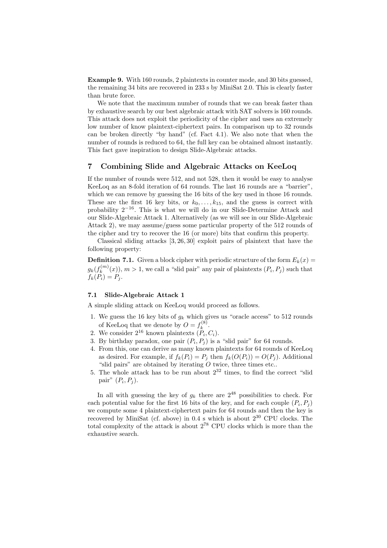Example 9. With 160 rounds, 2 plaintexts in counter mode, and 30 bits guessed, the remaining 34 bits are recovered in 233 s by MiniSat 2.0. This is clearly faster than brute force.

We note that the maximum number of rounds that we can break faster than by exhaustive search by our best algebraic attack with SAT solvers is 160 rounds. This attack does not exploit the periodicity of the cipher and uses an extremely low number of know plaintext-ciphertext pairs. In comparison up to 32 rounds can be broken directly "by hand" (cf. Fact 4.1). We also note that when the number of rounds is reduced to 64, the full key can be obtained almost instantly. This fact gave inspiration to design Slide-Algebraic attacks.

## 7 Combining Slide and Algebraic Attacks on KeeLoq

If the number of rounds were 512, and not 528, then it would be easy to analyse KeeLoq as an 8-fold iteration of 64 rounds. The last 16 rounds are a "barrier", which we can remove by guessing the 16 bits of the key used in those 16 rounds. These are the first 16 key bits, or  $k_0, \ldots, k_{15}$ , and the guess is correct with probability  $2^{-16}$ . This is what we will do in our Slide-Determine Attack and our Slide-Algebraic Attack 1. Alternatively (as we will see in our Slide-Algebraic Attack 2), we may assume/guess some particular property of the 512 rounds of the cipher and try to recover the 16 (or more) bits that confirm this property.

Classical sliding attacks [3, 26, 30] exploit pairs of plaintext that have the following property:

**Definition 7.1.** Given a block cipher with periodic structure of the form  $E_k(x) =$  $g_k(f_k^{(m)}$  $(k_n^{(m)}(x))$ ,  $m > 1$ , we call a "slid pair" any pair of plaintexts  $(P_i, P_j)$  such that  $f_k(P_i) = P_j.$ 

## 7.1 Slide-Algebraic Attack 1

A simple sliding attack on KeeLoq would proceed as follows.

- 1. We guess the 16 key bits of  $g_k$  which gives us "oracle access" to 512 rounds of KeeLoq that we denote by  $O = f_k^{(8)}$  $\frac{k^{(8)}}{k}$ .
- 2. We consider  $2^{16}$  known plaintexts  $(P_i, C_i)$ .
- 3. By birthday paradox, one pair  $(P_i, P_j)$  is a "slid pair" for 64 rounds.
- 4. From this, one can derive as many known plaintexts for 64 rounds of KeeLoq as desired. For example, if  $f_k(P_i) = P_j$  then  $f_k(O(P_i)) = O(P_j)$ . Additional "slid pairs" are obtained by iterating  $\ddot{O}$  twice, three times etc..
- 5. The whole attack has to be run about  $2^{32}$  times, to find the correct "slid pair"  $(P_i, P_j)$ .

In all with guessing the key of  $g_k$  there are  $2^{48}$  possibilities to check. For each potential value for the first 16 bits of the key, and for each couple  $(P_i, P_j)$ we compute some 4 plaintext-ciphertext pairs for 64 rounds and then the key is recovered by MiniSat (cf. above) in  $0.4$  s which is about  $2^{30}$  CPU clocks. The total complexity of the attack is about  $2^{78}$  CPU clocks which is more than the exhaustive search.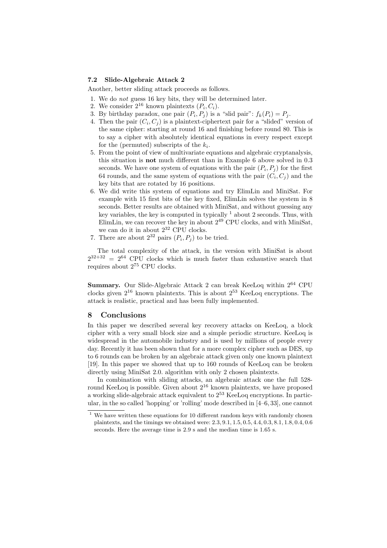## 7.2 Slide-Algebraic Attack 2

Another, better sliding attack proceeds as follows.

- 1. We do not guess 16 key bits, they will be determined later.
- 2. We consider  $2^{16}$  known plaintexts  $(P_i, C_i)$ .
- 3. By birthday paradox, one pair  $(P_i, P_j)$  is a "slid pair":  $f_k(P_i) = P_j$ .
- 4. Then the pair  $(C_i, C_j)$  is a plaintext-ciphertext pair for a "slided" version of the same cipher: starting at round 16 and finishing before round 80. This is to say a cipher with absolutely identical equations in every respect except for the (permuted) subscripts of the  $k_i$ .
- 5. From the point of view of multivariate equations and algebraic cryptanalysis, this situation is not much different than in Example 6 above solved in 0.3 seconds. We have one system of equations with the pair  $(P_i, P_j)$  for the first 64 rounds, and the same system of equations with the pair  $(C_i, C_j)$  and the key bits that are rotated by 16 positions.
- 6. We did write this system of equations and try ElimLin and MiniSat. For example with 15 first bits of the key fixed, ElimLin solves the system in 8 seconds. Better results are obtained with MiniSat, and without guessing any key variables, the key is computed in typically  $1$  about 2 seconds. Thus, with ElimLin, we can recover the key in about  $2^{49}$  CPU clocks, and with MiniSat, we can do it in about  $2^{32}$  CPU clocks.
- 7. There are about  $2^{32}$  pairs  $(P_i, P_j)$  to be tried.

The total complexity of the attack, in the version with MiniSat is about  $2^{32+32} = 2^{64}$  CPU clocks which is much faster than exhaustive search that requires about 2<sup>75</sup> CPU clocks.

Summary. Our Slide-Algebraic Attack 2 can break KeeLoq within  $2^{64}$  CPU clocks given  $2^{16}$  known plaintexts. This is about  $2^{53}$  KeeLoq encryptions. The attack is realistic, practical and has been fully implemented.

### 8 Conclusions

In this paper we described several key recovery attacks on KeeLoq, a block cipher with a very small block size and a simple periodic structure. KeeLoq is widespread in the automobile industry and is used by millions of people every day. Recently it has been shown that for a more complex cipher such as DES, up to 6 rounds can be broken by an algebraic attack given only one known plaintext [19]. In this paper we showed that up to 160 rounds of KeeLoq can be broken directly using MiniSat 2.0. algorithm with only 2 chosen plaintexts.

In combination with sliding attacks, an algebraic attack one the full 528 round KeeLoq is possible. Given about  $2^{16}$  known plaintexts, we have proposed a working slide-algebraic attack equivalent to  $2^{53}$  KeeLoq encryptions. In particular, in the so called 'hopping' or 'rolling' mode described in [4–6, 33], one cannot

 $1$  We have written these equations for 10 different random keys with randomly chosen plaintexts, and the timings we obtained were: 2.3, 9.1, 1.5, 0.5, 4.4, 0.3, 8.1, 1.8, 0.4, 0.6 seconds. Here the average time is 2.9 s and the median time is 1.65 s.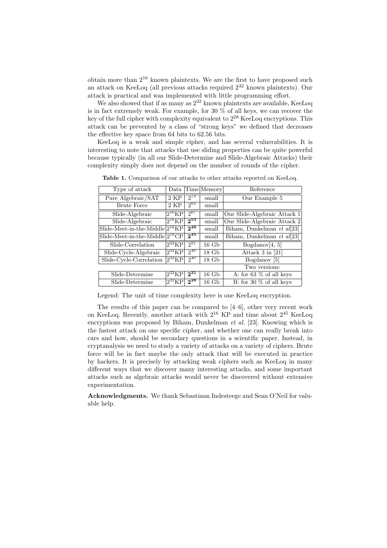obtain more than  $2^{16}$  known plaintexts. We are the first to have proposed such an attack on KeeLoq (all previous attacks required  $2^{32}$  known plaintexts). Our attack is practical and was implemented with little programming effort.

We also showed that if as many as  $2^{32}$  known plaintexts are available, KeeLoq is in fact extremely weak. For example, for 30 % of all keys, we can recover the key of the full cipher with complexity equivalent to  $2^{28}$  KeeLoq encryptions. This attack can be prevented by a class of "strong keys" we defined that decreases the effective key space from 64 bits to 62.56 bits.

KeeLoq is a weak and simple cipher, and has several vulnerabilities. It is interesting to note that attacks that use sliding properties can be quite powerful because typically (in all our Slide-Determine and Slide-Algebraic Attacks) their complexity simply does not depend on the number of rounds of the cipher.

| Type of attack           | Data                            |          | Time Memory | Reference                    |
|--------------------------|---------------------------------|----------|-------------|------------------------------|
| Pure Algebraic/SAT       | 2 KP                            | $2^{73}$ | small       | Our Example 5                |
| <b>Brute Force</b>       | 2 KP                            | $2^{63}$ | small       |                              |
| Slide-Algebraic          | $\overline{2}^{16}\mathrm{KP}$  | $2^{67}$ | small       | Our Slide-Algebraic Attack 1 |
| Slide-Algebraic          | $2^{16}KP$                      | $2^{53}$ | small       | Our Slide-Algebraic Attack 2 |
| Slide-Meet-in-the-Middle | $2^{16}KP$                      | $2^{46}$ | small       | Biham, Dunkelman et al[23]   |
| Slide-Meet-in-the-Middle | $2^{16}$ CP                     | $2^{45}$ | small       | Biham, Dunkelman et al[23]   |
| Slide-Correlation        | $2^{32}$ KP                     | $2^{51}$ | $16\ Gb$    | Bogdanov $[4, 5]$            |
| Slide-Cycle-Algebraic    | $2^{32}KP$                      | $2^{40}$ | $18\ Gb$    | Attack $3$ in [21]           |
| Slide-Cycle-Correlation  | $2^{32}KP$                      | $2^{40}$ | $18\ Gb$    | Bogdanov <sup>[5]</sup>      |
|                          |                                 |          |             | Two versions:                |
| Slide-Determine          | $2^{32}KP$                      | $2^{31}$ | $16\;$ Gb   | A: for 63 $\%$ of all keys   |
| Slide-Determine          | $\overline{2}^{32} \mathrm{KP}$ | $2^{28}$ | 16 Gb       | B: for 30 $%$ of all keys    |

Table 1. Comparison of our attacks to other attacks reported on KeeLoq.

Legend: The unit of time complexity here is one KeeLoq encryption.

The results of this paper can be compared to [4–6], other very recent work on KeeLoq. Recently, another attack with  $2^{16}$  KP and time about  $2^{45}$  KeeLoq encryptions was proposed by Biham, Dunkelman et al. [23]. Knowing which is the fastest attack on one specific cipher, and whether one can really break into cars and how, should be secondary questions in a scientific paper. Instead, in cryptanalysis we need to study a variety of attacks on a variety of ciphers. Brute force will be in fact maybe the only attack that will be executed in practice by hackers. It is precisely by attacking weak ciphers such as KeeLoq in many different ways that we discover many interesting attacks, and some important attacks such as algebraic attacks would never be discovered without extensive experimentation.

Acknowledgments. We thank Sebastiaan Indesteege and Sean O'Neil for valuable help.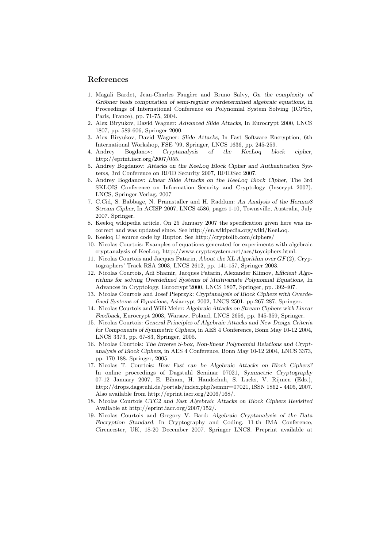## References

- 1. Magali Bardet, Jean-Charles Faugère and Bruno Salvy, On the complexity of Gröbner basis computation of semi-regular overdetermined algebraic equations, in Proceedings of International Conference on Polynomial System Solving (ICPSS, Paris, France), pp. 71-75, 2004.
- 2. Alex Biryukov, David Wagner: Advanced Slide Attacks, In Eurocrypt 2000, LNCS 1807, pp. 589-606, Springer 2000.
- 3. Alex Biryukov, David Wagner: Slide Attacks, In Fast Software Encryption, 6th International Workshop, FSE '99, Springer, LNCS 1636, pp. 245-259.
- 4. Andrey Bogdanov: Cryptanalysis of the KeeLoq block cipher, http://eprint.iacr.org/2007/055.
- 5. Andrey Bogdanov: Attacks on the KeeLoq Block Cipher and Authentication Systems, 3rd Conference on RFID Security 2007, RFIDSec 2007.
- 6. Andrey Bogdanov: Linear Slide Attacks on the KeeLoq Block Cipher, The 3rd SKLOIS Conference on Information Security and Cryptology (Inscrypt 2007), LNCS, Springer-Verlag, 2007
- 7. C.Cid, S. Babbage, N. Pramstaller and H. Raddum: An Analysis of the Hermes8 Stream Cipher, In ACISP 2007, LNCS 4586, pages 1-10, Townsville, Australia, July 2007. Springer.
- 8. Keeloq wikipedia article. On 25 January 2007 the specification given here was incorrect and was updated since. See http://en.wikipedia.org/wiki/KeeLoq.
- 9. Keeloq C source code by Ruptor. See http://cryptolib.com/ciphers/
- 10. Nicolas Courtois: Examples of equations generated for experiments with algebraic cryptanalysis of KeeLoq, http://www.cryptosystem.net/aes/toyciphers.html.
- 11. Nicolas Courtois and Jacques Patarin, About the XL Algorithm over  $GF(2)$ , Cryptographers' Track RSA 2003, LNCS 2612, pp. 141-157, Springer 2003.
- 12. Nicolas Courtois, Adi Shamir, Jacques Patarin, Alexander Klimov, Efficient Algorithms for solving Overdefined Systems of Multivariate Polynomial Equations, In Advances in Cryptology, Eurocrypt'2000, LNCS 1807, Springer, pp. 392-407.
- 13. Nicolas Courtois and Josef Pieprzyk: Cryptanalysis of Block Ciphers with Overdefined Systems of Equations, Asiacrypt 2002, LNCS 2501, pp.267-287, Springer.
- 14. Nicolas Courtois and Willi Meier: Algebraic Attacks on Stream Ciphers with Linear Feedback, Eurocrypt 2003, Warsaw, Poland, LNCS 2656, pp. 345-359, Springer.
- 15. Nicolas Courtois: General Principles of Algebraic Attacks and New Design Criteria for Components of Symmetric Ciphers, in AES 4 Conference, Bonn May 10-12 2004, LNCS 3373, pp. 67-83, Springer, 2005.
- 16. Nicolas Courtois: The Inverse S-box, Non-linear Polynomial Relations and Cryptanalysis of Block Ciphers, in AES 4 Conference, Bonn May 10-12 2004, LNCS 3373, pp. 170-188, Springer, 2005.
- 17. Nicolas T. Courtois: How Fast can be Algebraic Attacks on Block Ciphers? In online proceedings of Dagstuhl Seminar 07021, Symmetric Cryptography 07-12 January 2007, E. Biham, H. Handschuh, S. Lucks, V. Rijmen (Eds.), http://drops.dagstuhl.de/portals/index.php?semnr=07021, ISSN 1862 - 4405, 2007. Also available from http://eprint.iacr.org/2006/168/.
- 18. Nicolas Courtois CTC2 and Fast Algebraic Attacks on Block Ciphers Revisited Available at http://eprint.iacr.org/2007/152/.
- 19. Nicolas Courtois and Gregory V. Bard: Algebraic Cryptanalysis of the Data Encryption Standard, In Cryptography and Coding, 11-th IMA Conference, Cirencester, UK, 18-20 December 2007. Springer LNCS. Preprint available at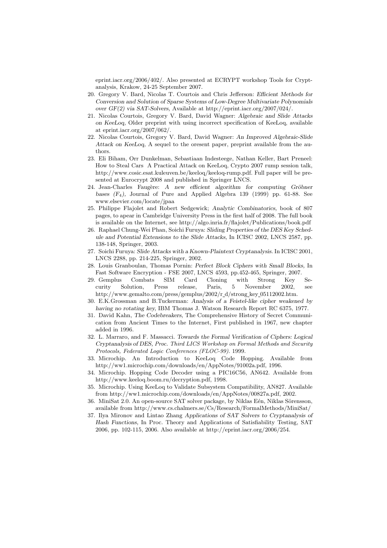eprint.iacr.org/2006/402/. Also presented at ECRYPT workshop Tools for Cryptanalysis, Krakow, 24-25 September 2007.

- 20. Gregory V. Bard, Nicolas T. Courtois and Chris Jefferson: Efficient Methods for Conversion and Solution of Sparse Systems of Low-Degree Multivariate Polynomials over GF(2) via SAT-Solvers, Available at http://eprint.iacr.org/2007/024/.
- 21. Nicolas Courtois, Gregory V. Bard, David Wagner: Algebraic and Slide Attacks on KeeLoq, Older preprint with using incorrect specification of KeeLoq, available at eprint.iacr.org/2007/062/.
- 22. Nicolas Courtois, Gregory V. Bard, David Wagner: An Improved Algebraic-Slide Attack on KeeLoq, A sequel to the oresent paper, preprint available from the authors.
- 23. Eli Biham, Orr Dunkelman, Sebastiaan Indesteege, Nathan Keller, Bart Preneel: How to Steal Cars A Practical Attack on KeeLoq, Crypto 2007 rump session talk, http://www.cosic.esat.kuleuven.be/keeloq/keeloq-rump.pdf. Full paper will be presented at Eurocrypt 2008 and published in Springer LNCS.
- 24. Jean-Charles Faugère: A new efficient algorithm for computing Gröbner bases (F4), Journal of Pure and Applied Algebra 139 (1999) pp. 61-88. See www.elsevier.com/locate/jpaa
- 25. Philippe Flajolet and Robert Sedgewick; Analytic Combinatorics, book of 807 pages, to apear in Cambridge University Press in the first half of 2008. The full book is available on the Internet, see http://algo.inria.fr/flajolet/Publications/book.pdf
- 26. Raphael Chung-Wei Phan, Soichi Furuya: Sliding Properties of the DES Key Schedule and Potential Extensions to the Slide Attacks, In ICISC 2002, LNCS 2587, pp. 138-148, Springer, 2003.
- 27. Soichi Furuya: Slide Attacks with a Known-Plaintext Cryptanalysis. In ICISC 2001, LNCS 2288, pp. 214-225, Springer, 2002.
- 28. Louis Granboulan, Thomas Pornin: Perfect Block Ciphers with Small Blocks, In Fast Software Encryption - FSE 2007, LNCS 4593, pp.452-465, Springer, 2007.
- 29. Gemplus Combats SIM Card Cloning with Strong Key Security Solution, Press release, Paris, 5 November 2002, see http://www.gemalto.com/press/gemplus/2002/r d/strong key 05112002.htm.
- 30. E.K.Grossman and B.Tuckerman: Analysis of a Feistel-like cipher weakened by having no rotating key, IBM Thomas J. Watson Research Report RC 6375, 1977.
- 31. David Kahn, The Codebreakers, The Comprehensive History of Secret Communication from Ancient Times to the Internet, First published in 1967, new chapter added in 1996.
- 32. L. Marraro, and F. Massacci. Towards the Formal Verification of Ciphers: Logical Cryptanalysis of DES, Proc. Third LICS Workshop on Formal Methods and Security Protocols, Federated Logic Conferences (FLOC-99). 1999.
- 33. Microchip. An Introduction to KeeLoq Code Hopping. Available from http://ww1.microchip.com/downloads/en/AppNotes/91002a.pdf, 1996.
- 34. Microchip. Hopping Code Decoder using a PIC16C56, AN642. Available from http://www.keeloq.boom.ru/decryption.pdf, 1998.
- 35. Microchip. Using KeeLoq to Validate Subsystem Compatibility, AN827. Available from http://ww1.microchip.com/downloads/en/AppNotes/00827a.pdf, 2002.
- 36. MiniSat 2.0. An open-source SAT solver package, by Niklas Eén, Niklas Sörensson, available from http://www.cs.chalmers.se/Cs/Research/FormalMethods/MiniSat/
- 37. Ilya Mironov and Lintao Zhang Applications of SAT Solvers to Cryptanalysis of Hash Functions, In Proc. Theory and Applications of Satisfiability Testing, SAT 2006, pp. 102-115, 2006. Also available at http://eprint.iacr.org/2006/254.